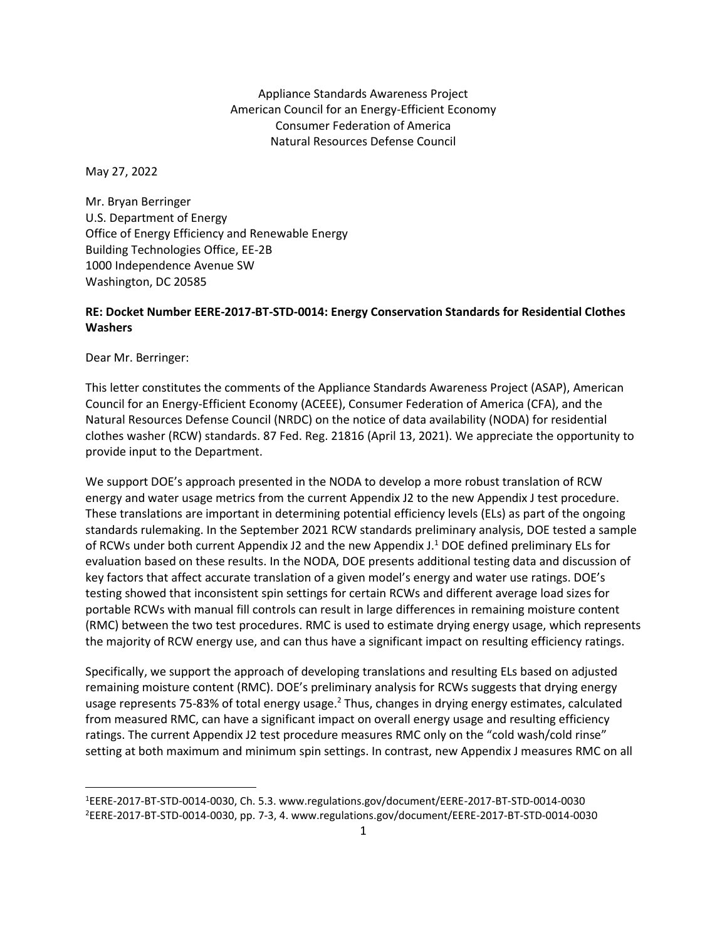Appliance Standards Awareness Project American Council for an Energy-Efficient Economy Consumer Federation of America Natural Resources Defense Council

May 27, 2022

Mr. Bryan Berringer U.S. Department of Energy Office of Energy Efficiency and Renewable Energy Building Technologies Office, EE-2B 1000 Independence Avenue SW Washington, DC 20585

## **RE: Docket Number EERE-2017-BT-STD-0014: Energy Conservation Standards for Residential Clothes Washers**

Dear Mr. Berringer:

This letter constitutes the comments of the Appliance Standards Awareness Project (ASAP), American Council for an Energy-Efficient Economy (ACEEE), Consumer Federation of America (CFA), and the Natural Resources Defense Council (NRDC) on the notice of data availability (NODA) for residential clothes washer (RCW) standards. 87 Fed. Reg. 21816 (April 13, 2021). We appreciate the opportunity to provide input to the Department.

We support DOE's approach presented in the NODA to develop a more robust translation of RCW energy and water usage metrics from the current Appendix J2 to the new Appendix J test procedure. These translations are important in determining potential efficiency levels (ELs) as part of the ongoing standards rulemaking. In the September 2021 RCW standards preliminary analysis, DOE tested a sample of RCWs under both current Appendix J2 and the new Appendix J.<sup>1</sup> DOE defined preliminary ELs for evaluation based on these results. In the NODA, DOE presents additional testing data and discussion of key factors that affect accurate translation of a given model's energy and water use ratings. DOE's testing showed that inconsistent spin settings for certain RCWs and different average load sizes for portable RCWs with manual fill controls can result in large differences in remaining moisture content (RMC) between the two test procedures. RMC is used to estimate drying energy usage, which represents the majority of RCW energy use, and can thus have a significant impact on resulting efficiency ratings.

Specifically, we support the approach of developing translations and resulting ELs based on adjusted remaining moisture content (RMC). DOE's preliminary analysis for RCWs suggests that drying energy usage represents 75-83% of total energy usage.<sup>2</sup> Thus, changes in drying energy estimates, calculated from measured RMC, can have a significant impact on overall energy usage and resulting efficiency ratings. The current Appendix J2 test procedure measures RMC only on the "cold wash/cold rinse" setting at both maximum and minimum spin settings. In contrast, new Appendix J measures RMC on all

<sup>1</sup>EERE-2017-BT-STD-0014-0030, Ch. 5.3. www.regulations.gov/document/EERE-2017-BT-STD-0014-0030 2EERE-2017-BT-STD-0014-0030, pp. 7-3, 4. www.regulations.gov/document/EERE-2017-BT-STD-0014-0030